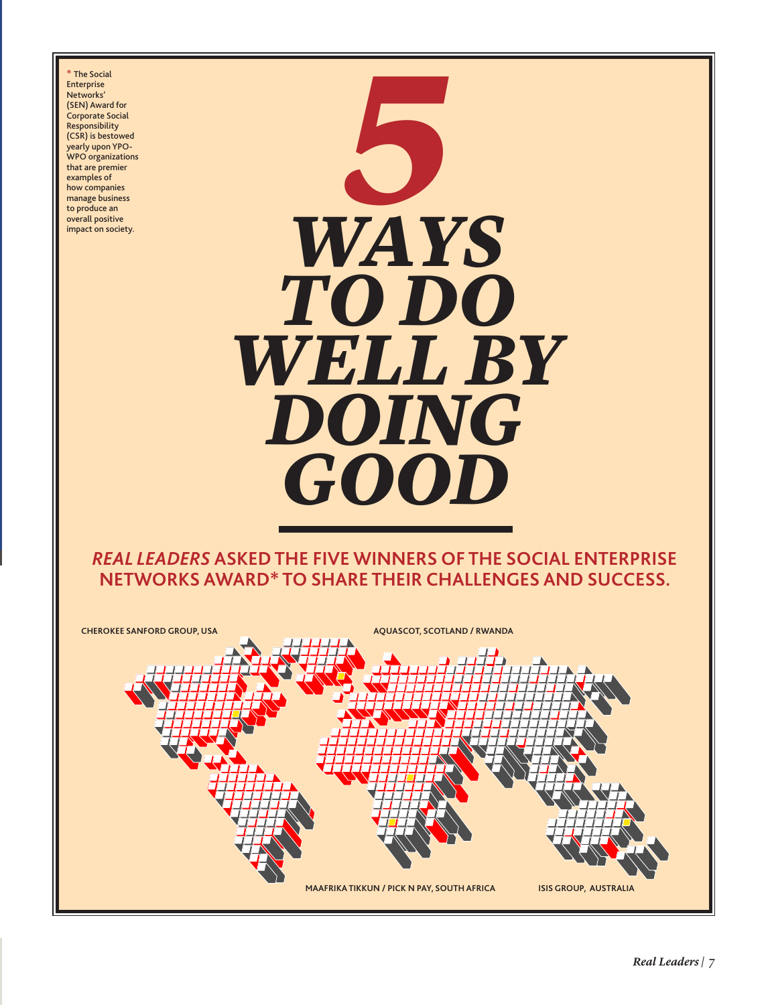The Social Enterprise Networks' (SEN) Award for Corporate Social Responsibility (CSR) is bestowed yearly upon YPO-WPO organizations that are premier examples of how companies manage business to produce an overall positive impact on society.



#### *real leaders* **asked the five winners of the social enterprise networks award\* to share their challenges and success.**

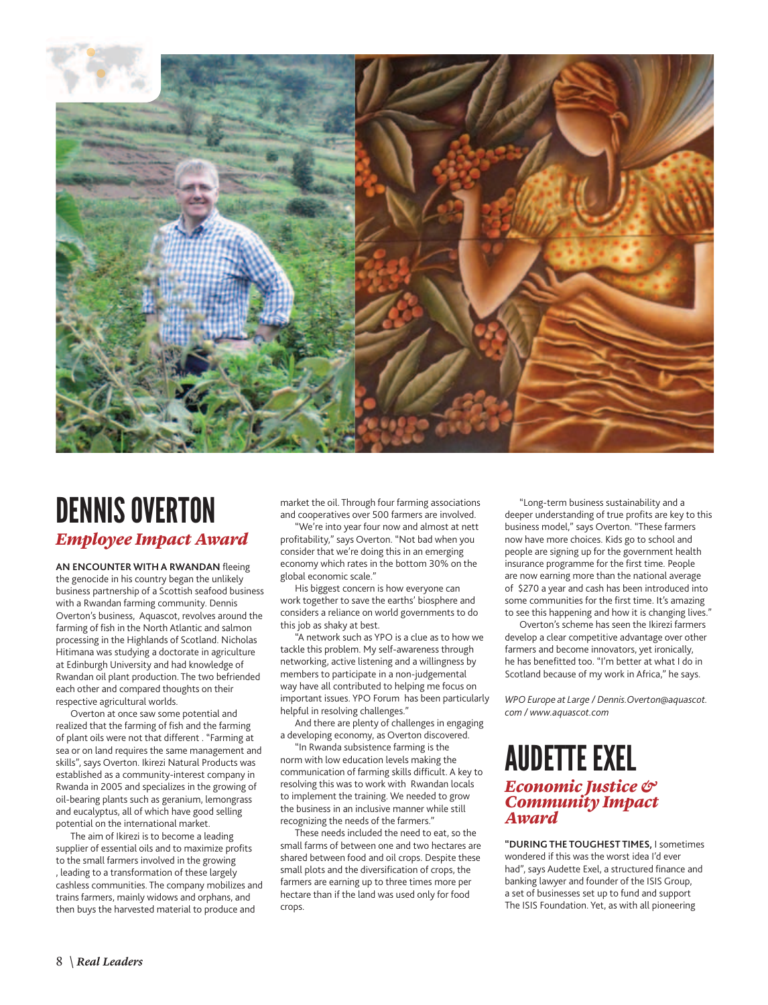

## Dennis Overton *Employee Impact Award*

**An encounter with a Rwandan** fleeing the genocide in his country began the unlikely business partnership of a Scottish seafood business with a Rwandan farming community. Dennis Overton's business, Aquascot, revolves around the farming of fish in the North Atlantic and salmon processing in the Highlands of Scotland. Nicholas Hitimana was studying a doctorate in agriculture at Edinburgh University and had knowledge of Rwandan oil plant production. The two befriended each other and compared thoughts on their respective agricultural worlds.

Overton at once saw some potential and realized that the farming of fish and the farming of plant oils were not that different . "Farming at sea or on land requires the same management and skills", says Overton. Ikirezi Natural Products was established as a community-interest company in Rwanda in 2005 and specializes in the growing of oil-bearing plants such as geranium, lemongrass and eucalyptus, all of which have good selling potential on the international market.

The aim of Ikirezi is to become a leading supplier of essential oils and to maximize profits to the small farmers involved in the growing , leading to a transformation of these largely cashless communities. The company mobilizes and trains farmers, mainly widows and orphans, and then buys the harvested material to produce and

market the oil. Through four farming associations and cooperatives over 500 farmers are involved.

"We're into year four now and almost at nett profitability," says Overton. "Not bad when you consider that we're doing this in an emerging economy which rates in the bottom 30% on the global economic scale."

His biggest concern is how everyone can work together to save the earths' biosphere and considers a reliance on world governments to do this job as shaky at best.

"A network such as YPO is a clue as to how we tackle this problem. My self-awareness through networking, active listening and a willingness by members to participate in a non-judgemental way have all contributed to helping me focus on important issues. YPO Forum has been particularly helpful in resolving challenges."

And there are plenty of challenges in engaging a developing economy, as Overton discovered.

"In Rwanda subsistence farming is the norm with low education levels making the communication of farming skills difficult. A key to resolving this was to work with Rwandan locals to implement the training. We needed to grow the business in an inclusive manner while still recognizing the needs of the farmers."

These needs included the need to eat, so the small farms of between one and two hectares are shared between food and oil crops. Despite these small plots and the diversification of crops, the farmers are earning up to three times more per hectare than if the land was used only for food crops.

"Long-term business sustainability and a deeper understanding of true profits are key to this business model," says Overton. "These farmers now have more choices. Kids go to school and people are signing up for the government health insurance programme for the first time. People are now earning more than the national average of \$270 a year and cash has been introduced into some communities for the first time. It's amazing to see this happening and how it is changing lives."

Overton's scheme has seen the Ikirezi farmers develop a clear competitive advantage over other farmers and become innovators, yet ironically, he has benefitted too. "I'm better at what I do in Scotland because of my work in Africa," he says.

*WPO Europe at Large / Dennis.Overton@aquascot. com / www.aquascot.com*

# audette exel

#### *Economic Justice & Community Impact Award*

**"During the toughest times,** I sometimes wondered if this was the worst idea I'd ever had", says Audette Exel, a structured finance and banking lawyer and founder of the ISIS Group, a set of businesses set up to fund and support The ISIS Foundation. Yet, as with all pioneering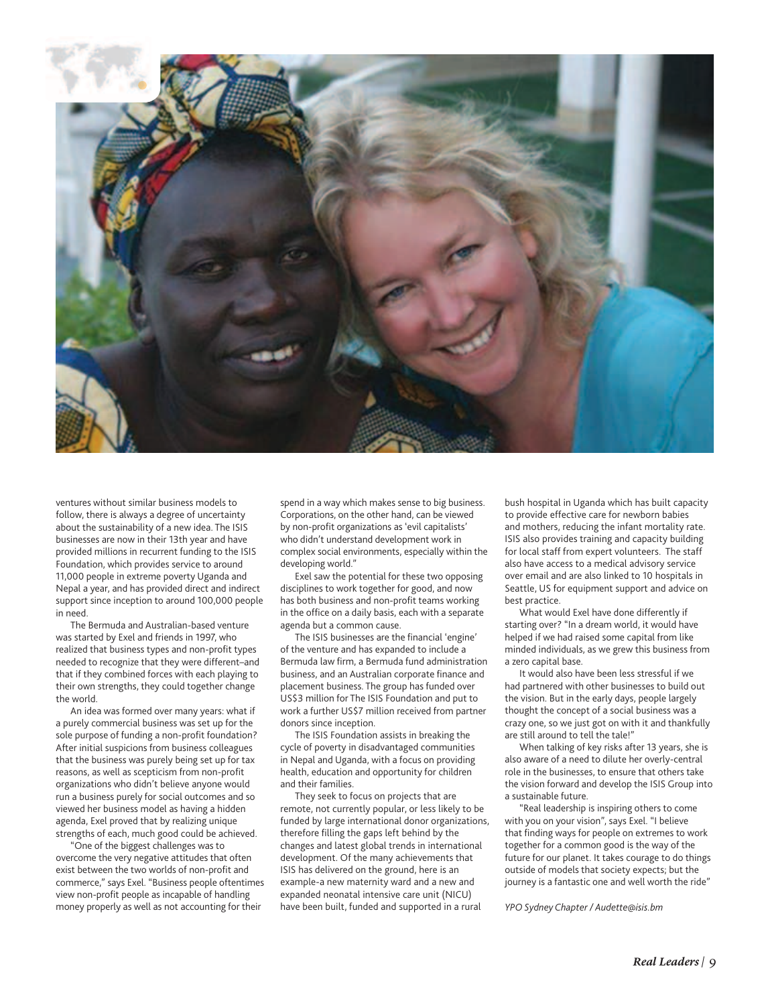

ventures without similar business models to follow, there is always a degree of uncertainty about the sustainability of a new idea. The ISIS businesses are now in their 13th year and have provided millions in recurrent funding to the ISIS Foundation, which provides service to around 11,000 people in extreme poverty Uganda and Nepal a year, and has provided direct and indirect support since inception to around 100,000 people in need.

The Bermuda and Australian-based venture was started by Exel and friends in 1997, who realized that business types and non-profit types needed to recognize that they were different–and that if they combined forces with each playing to their own strengths, they could together change the world.

An idea was formed over many years: what if a purely commercial business was set up for the sole purpose of funding a non-profit foundation? After initial suspicions from business colleagues that the business was purely being set up for tax reasons, as well as scepticism from non-profit organizations who didn't believe anyone would run a business purely for social outcomes and so viewed her business model as having a hidden agenda, Exel proved that by realizing unique strengths of each, much good could be achieved.

"One of the biggest challenges was to overcome the very negative attitudes that often exist between the two worlds of non-profit and commerce," says Exel. "Business people oftentimes view non-profit people as incapable of handling money properly as well as not accounting for their

spend in a way which makes sense to big business. Corporations, on the other hand, can be viewed by non-profit organizations as 'evil capitalists' who didn't understand development work in complex social environments, especially within the developing world."

Exel saw the potential for these two opposing disciplines to work together for good, and now has both business and non-profit teams working in the office on a daily basis, each with a separate agenda but a common cause.

The ISIS businesses are the financial 'engine' of the venture and has expanded to include a Bermuda law firm, a Bermuda fund administration business, and an Australian corporate finance and placement business. The group has funded over US\$3 million for The ISIS Foundation and put to work a further US\$7 million received from partner donors since inception.

The ISIS Foundation assists in breaking the cycle of poverty in disadvantaged communities in Nepal and Uganda, with a focus on providing health, education and opportunity for children and their families.

They seek to focus on projects that are remote, not currently popular, or less likely to be funded by large international donor organizations, therefore filling the gaps left behind by the changes and latest global trends in international development. Of the many achievements that ISIS has delivered on the ground, here is an example-a new maternity ward and a new and expanded neonatal intensive care unit (NICU) have been built, funded and supported in a rural

bush hospital in Uganda which has built capacity to provide effective care for newborn babies and mothers, reducing the infant mortality rate. ISIS also provides training and capacity building for local staff from expert volunteers. The staff also have access to a medical advisory service over email and are also linked to 10 hospitals in Seattle, US for equipment support and advice on best practice.

What would Exel have done differently if starting over? "In a dream world, it would have helped if we had raised some capital from like minded individuals, as we grew this business from a zero capital base.

It would also have been less stressful if we had partnered with other businesses to build out the vision. But in the early days, people largely thought the concept of a social business was a crazy one, so we just got on with it and thankfully are still around to tell the tale!"

When talking of key risks after 13 years, she is also aware of a need to dilute her overly-central role in the businesses, to ensure that others take the vision forward and develop the ISIS Group into a sustainable future.

"Real leadership is inspiring others to come with you on your vision", says Exel. "I believe that finding ways for people on extremes to work together for a common good is the way of the future for our planet. It takes courage to do things outside of models that society expects; but the journey is a fantastic one and well worth the ride"

*YPO Sydney Chapter / Audette@isis.bm*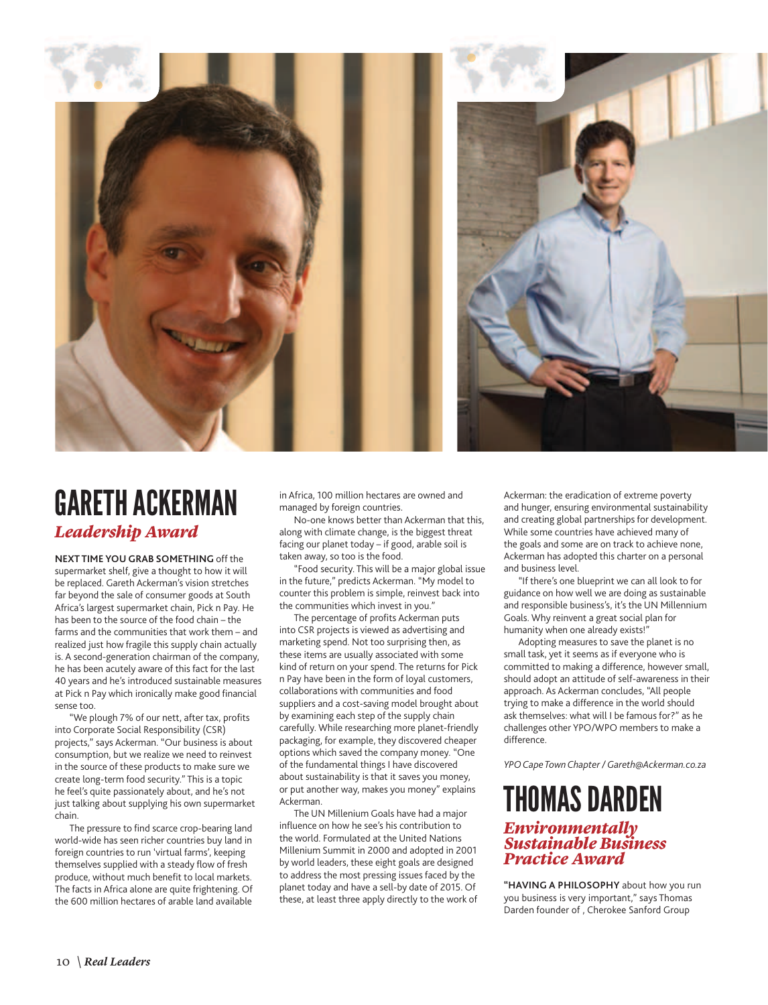

## gareth ackerman *Leadership Award*

**Next time you grab something** off the supermarket shelf, give a thought to how it will be replaced. Gareth Ackerman's vision stretches far beyond the sale of consumer goods at South Africa's largest supermarket chain, Pick n Pay. He has been to the source of the food chain – the farms and the communities that work them – and realized just how fragile this supply chain actually is. A second-generation chairman of the company, he has been acutely aware of this fact for the last 40 years and he's introduced sustainable measures at Pick n Pay which ironically make good financial sense too.

"We plough 7% of our nett, after tax, profits into Corporate Social Responsibility (CSR) projects," says Ackerman. "Our business is about consumption, but we realize we need to reinvest in the source of these products to make sure we create long-term food security." This is a topic he feel's quite passionately about, and he's not just talking about supplying his own supermarket chain.

The pressure to find scarce crop-bearing land world-wide has seen richer countries buy land in foreign countries to run 'virtual farms', keeping themselves supplied with a steady flow of fresh produce, without much benefit to local markets. The facts in Africa alone are quite frightening. Of the 600 million hectares of arable land available

in Africa, 100 million hectares are owned and managed by foreign countries.

No-one knows better than Ackerman that this, along with climate change, is the biggest threat facing our planet today – if good, arable soil is taken away, so too is the food.

"Food security. This will be a major global issue in the future," predicts Ackerman. "My model to counter this problem is simple, reinvest back into the communities which invest in you."

The percentage of profits Ackerman puts into CSR projects is viewed as advertising and marketing spend. Not too surprising then, as these items are usually associated with some kind of return on your spend. The returns for Pick n Pay have been in the form of loyal customers, collaborations with communities and food suppliers and a cost-saving model brought about by examining each step of the supply chain carefully. While researching more planet-friendly packaging, for example, they discovered cheaper options which saved the company money. "One of the fundamental things I have discovered about sustainability is that it saves you money, or put another way, makes you money" explains Ackerman.

The UN Millenium Goals have had a major influence on how he see's his contribution to the world. Formulated at the United Nations Millenium Summit in 2000 and adopted in 2001 by world leaders, these eight goals are designed to address the most pressing issues faced by the planet today and have a sell-by date of 2015. Of these, at least three apply directly to the work of Ackerman: the eradication of extreme poverty and hunger, ensuring environmental sustainability and creating global partnerships for development. While some countries have achieved many of the goals and some are on track to achieve none, Ackerman has adopted this charter on a personal and business level.

"If there's one blueprint we can all look to for guidance on how well we are doing as sustainable and responsible business's, it's the UN Millennium Goals. Why reinvent a great social plan for humanity when one already exists!"

Adopting measures to save the planet is no small task, yet it seems as if everyone who is committed to making a difference, however small, should adopt an attitude of self-awareness in their approach. As Ackerman concludes, "All people trying to make a difference in the world should ask themselves: what will I be famous for?" as he challenges other YPO/WPO members to make a difference.

*YPO Cape Town Chapter / Gareth@Ackerman.co.za*

#### thomas darden *Environmentally Sustainable Business Practice Award*

**"Having a philosophy** about how you run you business is very important," says Thomas Darden founder of , Cherokee Sanford Group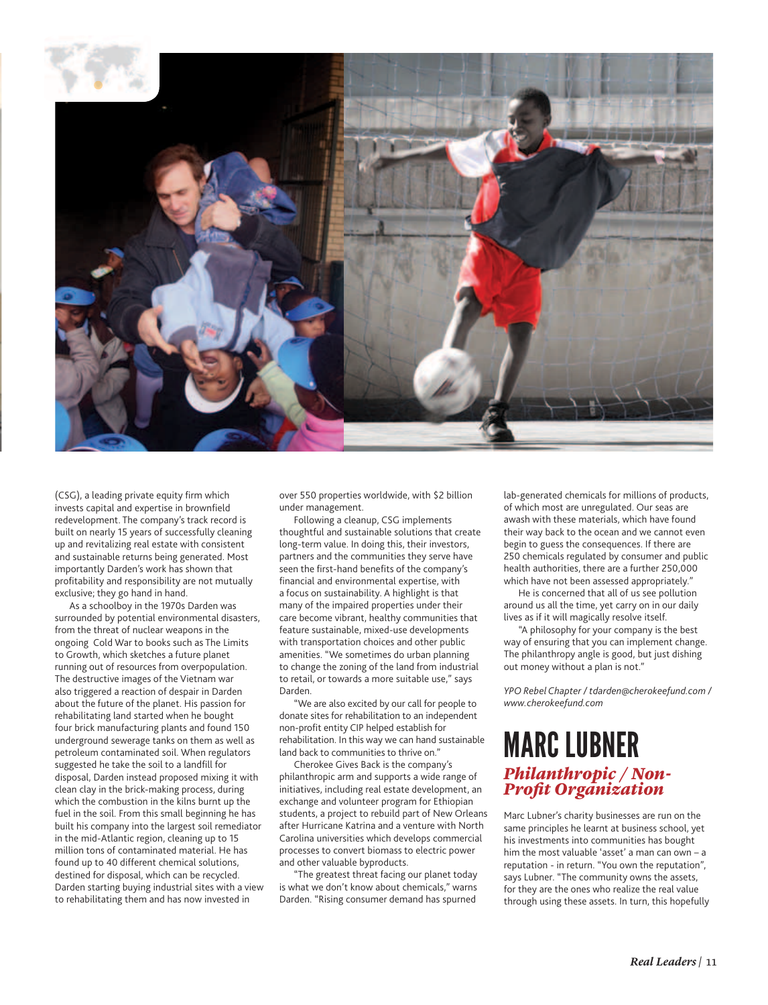

(CSG), a leading private equity firm which invests capital and expertise in brownfield redevelopment. The company's track record is built on nearly 15 years of successfully cleaning up and revitalizing real estate with consistent and sustainable returns being generated. Most importantly Darden's work has shown that profitability and responsibility are not mutually exclusive; they go hand in hand.

As a schoolboy in the 1970s Darden was surrounded by potential environmental disasters, from the threat of nuclear weapons in the ongoing Cold War to books such as The Limits to Growth, which sketches a future planet running out of resources from overpopulation. The destructive images of the Vietnam war also triggered a reaction of despair in Darden about the future of the planet. His passion for rehabilitating land started when he bought four brick manufacturing plants and found 150 underground sewerage tanks on them as well as petroleum contaminated soil. When regulators suggested he take the soil to a landfill for disposal, Darden instead proposed mixing it with clean clay in the brick-making process, during which the combustion in the kilns burnt up the fuel in the soil. From this small beginning he has built his company into the largest soil remediator in the mid-Atlantic region, cleaning up to 15 million tons of contaminated material. He has found up to 40 different chemical solutions, destined for disposal, which can be recycled. Darden starting buying industrial sites with a view to rehabilitating them and has now invested in

over 550 properties worldwide, with \$2 billion under management.

Following a cleanup, CSG implements thoughtful and sustainable solutions that create long-term value. In doing this, their investors, partners and the communities they serve have seen the first-hand benefits of the company's financial and environmental expertise, with a focus on sustainability. A highlight is that many of the impaired properties under their care become vibrant, healthy communities that feature sustainable, mixed-use developments with transportation choices and other public amenities. "We sometimes do urban planning to change the zoning of the land from industrial to retail, or towards a more suitable use," says Darden.

"We are also excited by our call for people to donate sites for rehabilitation to an independent non-profit entity CIP helped establish for rehabilitation. In this way we can hand sustainable land back to communities to thrive on.

Cherokee Gives Back is the company's philanthropic arm and supports a wide range of initiatives, including real estate development, an exchange and volunteer program for Ethiopian students, a project to rebuild part of New Orleans after Hurricane Katrina and a venture with North Carolina universities which develops commercial processes to convert biomass to electric power and other valuable byproducts.

"The greatest threat facing our planet today is what we don't know about chemicals," warns Darden. "Rising consumer demand has spurned

lab-generated chemicals for millions of products, of which most are unregulated. Our seas are awash with these materials, which have found their way back to the ocean and we cannot even begin to guess the consequences. If there are 250 chemicals regulated by consumer and public health authorities, there are a further 250,000 which have not been assessed appropriately."

He is concerned that all of us see pollution around us all the time, yet carry on in our daily lives as if it will magically resolve itself.

"A philosophy for your company is the best way of ensuring that you can implement change. The philanthropy angle is good, but just dishing out money without a plan is not."

*YPO Rebel Chapter / tdarden@cherokeefund.com / www.cherokeefund.com*

### marc lubner *Philanthropic / Non-Profit Organization*

Marc Lubner's charity businesses are run on the same principles he learnt at business school, yet his investments into communities has bought him the most valuable 'asset' a man can own – a reputation - in return. "You own the reputation", says Lubner. "The community owns the assets, for they are the ones who realize the real value through using these assets. In turn, this hopefully